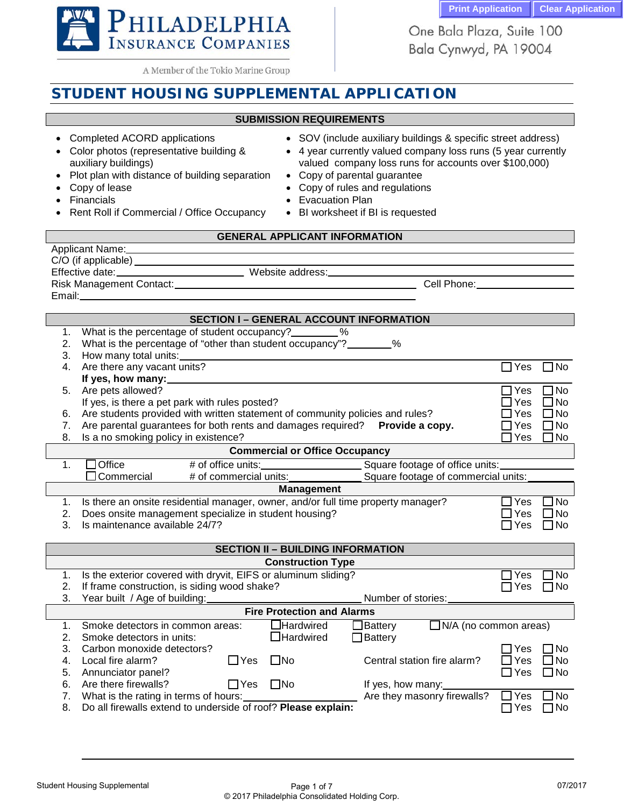One Bala Plaza, Suite 100 Bala Cynwyd, PA 19004



A Member of the Tokio Marine Group

# **STUDENT HOUSING SUPPLEMENTAL APPLICATION**

# **SUBMISSION REQUIREMENTS**

- 
- Color photos (representative building & auxiliary buildings)
- Plot plan with distance of building separation Copy of parental guarantee
- 
- 
- Rent Roll if Commercial / Office Occupancy BI worksheet if BI is requested
- Completed ACORD applications SOV (include auxiliary buildings & specific street address)
	- 4 year currently valued company loss runs (5 year currently valued company loss runs for accounts over \$100,000)
	-
	- Copy of lease Copy of rules and regulations
	- Financials Evacuation Plan
		-

# **GENERAL APPLICANT INFORMATION**

| Applicant Name:            |
|----------------------------|
| $C/O$ (if applicable) $\_$ |
| Effective date:            |
| <b>Risk Management Con</b> |

Website address:

Risk Management Contact: Cell Phone:

# Email:

### **SECTION I – GENERAL ACCOUNT INFORMATION**

- 1. What is the percentage of student occupancy? \_\_\_\_\_\_\_\_ %
- 2. What is the percentage of "other than student occupancy"?  $\frac{1}{8}$ %
- 3. How many total units:
- 4. Are there any vacant units?  $\Box$  Yes  $\Box$  No **If yes, how many:** 5. Are pets allowed? <br>If ves. is there a pet park with rules posted? If ves. Some a pet park with rules posted? If ves No
- If yes, is there a pet park with rules posted?<br>Are students provided with written statement of community policies and rules?  $\Box$  Yes  $\Box$  No
- 6. Are students provided with written statement of community policies and rules?  $\square$  Yes  $\square$  No 7. Are parental guarantees for both rents and damages required? **Provide a copy.**  $\square$  Yes  $\square$  No 7. Are parental guarantees for both rents and damages required? **Provide a copy.** □ Yes □ No<br>8. Is a no smoking policy in existence?
- 8. Is a no smoking policy in existence?

### **Commercial or Office Occupancy**

| 1Office:                                                                         | # of office units:                                                                   | Square footage of office units:     |       |     |  |
|----------------------------------------------------------------------------------|--------------------------------------------------------------------------------------|-------------------------------------|-------|-----|--|
| $\Box$ Commercial                                                                | # of commercial units:                                                               | Square footage of commercial units: |       |     |  |
| <b>Management</b>                                                                |                                                                                      |                                     |       |     |  |
|                                                                                  | 1. Is there an onsite residential manager, owner, and/or full time property manager? |                                     | ⊟ Yes | ∏No |  |
| $\Box$ Yes<br>$\Box$ No<br>Does onsite management specialize in student housing? |                                                                                      |                                     |       |     |  |
| $\Omega$ is the set of the set of $\Gamma$ in $\Omega$ is $\Gamma$               |                                                                                      |                                     |       |     |  |

3. Is maintenance available 24/7?  $\Box$  Yes  $\Box$  No

| <b>SECTION II - BUILDING INFORMATION</b> |                                                                |              |                          |                    |                              |            |              |
|------------------------------------------|----------------------------------------------------------------|--------------|--------------------------|--------------------|------------------------------|------------|--------------|
|                                          |                                                                |              | <b>Construction Type</b> |                    |                              |            |              |
|                                          | Is the exterior covered with dryvit, EIFS or aluminum sliding? |              |                          |                    |                              | RYes       | ∩No          |
| 2.                                       | If frame construction, is siding wood shake?                   |              |                          |                    |                              | – I Yes    | ∩No          |
| 3.                                       | Year built / Age of building:                                  |              |                          | Number of stories: |                              |            |              |
| <b>Fire Protection and Alarms</b>        |                                                                |              |                          |                    |                              |            |              |
|                                          | Smoke detectors in common areas:                               |              | $\Box$ Hardwired         | $\Box$ Battery     | $\Box$ N/A (no common areas) |            |              |
| 2.                                       | Smoke detectors in units:                                      |              | $\Box$ Hardwired         | $\Box$ Battery     |                              |            |              |
| З.                                       | Carbon monoxide detectors?                                     |              |                          |                    |                              | . TYes     | ⊟No          |
| 4.                                       | Local fire alarm?                                              | $\sqcup$ Yes | $\Box$ No                |                    | Central station fire alarm?  | $\Box$ Yes | l INo        |
| 5.                                       | Annunciator panel?                                             |              |                          |                    |                              | ∩Yes       | $\square$ No |
| 6.                                       | Are there firewalls?                                           | ΠYes         | $\square$ No             | If yes, how many:  |                              |            |              |
|                                          | What is the rating in terms of hours:                          |              |                          |                    | Are they masonry firewalls?  | ⊟ Yes      | ∩No          |
| 8.                                       | Do all firewalls extend to underside of roof? Please explain:  |              |                          |                    |                              | ′es        | ∏No          |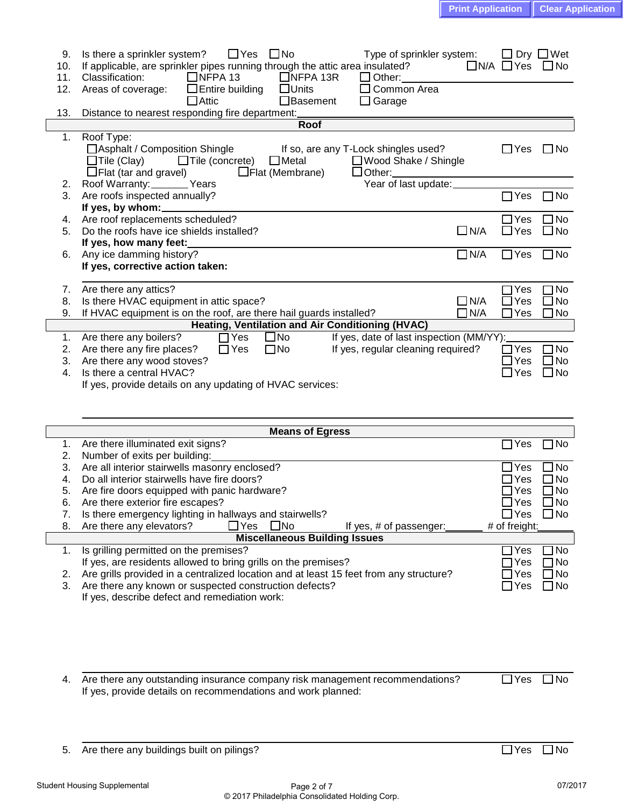| 9.  | Is there a sprinkler system?<br>$\square$ No<br>Type of sprinkler system:<br>$\Box$ Yes                                                    | $\Box$ Dry $\Box$ Wet |
|-----|--------------------------------------------------------------------------------------------------------------------------------------------|-----------------------|
| 10. | $\Box$ N/A $\Box$ Yes<br>If applicable, are sprinkler pipes running through the attic area insulated?                                      | $\Box$ No             |
| 11. | $\Box$ NFPA 13<br>$\Box$ NFPA 13R<br>Classification:<br>$\Box$ Other:                                                                      |                       |
| 12. | $\Box$ Units<br>$\Box$ Common Area<br>Areas of coverage:<br>$\Box$ Entire building                                                         |                       |
|     | $\Box$ Attic<br>$\Box$ Garage<br>□Basement                                                                                                 |                       |
| 13. | Distance to nearest responding fire department:                                                                                            |                       |
|     | Roof                                                                                                                                       |                       |
| 1.  | Roof Type:                                                                                                                                 |                       |
|     | □ Asphalt / Composition Shingle<br>If so, are any T-Lock shingles used?<br>$\Box$ Yes                                                      | $\Box$ No             |
|     | $\Box$ Tile (concrete)<br>$\Box$ Tile (Clay)<br>$\Box$ Metal<br>□ Wood Shake / Shingle                                                     |                       |
|     | $\Box$ Flat (tar and gravel)<br>$\Box$ Flat (Membrane)<br>$\Box$ Other:                                                                    |                       |
| 2.  | Year of last update:_<br>Roof Warranty: Vears                                                                                              |                       |
| 3.  | Are roofs inspected annually?<br>$\Box$ Yes                                                                                                | $\Box$ No             |
|     | If yes, by whom:_                                                                                                                          |                       |
| 4.  | Are roof replacements scheduled?<br>$\Box$ Yes                                                                                             | ]No                   |
| 5.  | Do the roofs have ice shields installed?<br>$\square$ N/A<br>$\Box$ Yes                                                                    | $\Box$ No             |
|     | If yes, how many feet:                                                                                                                     |                       |
| 6.  | $\Box$ N/A<br>$\Box$ Yes<br>Any ice damming history?                                                                                       | $\square$ No          |
|     | If yes, corrective action taken:                                                                                                           |                       |
|     |                                                                                                                                            |                       |
| 7.  | Are there any attics?<br>Yes                                                                                                               | No                    |
| 8.  | $\exists$ N/A<br>Is there HVAC equipment in attic space?<br>Yes<br>$\blacksquare$                                                          | <b>No</b>             |
| 9.  | If HVAC equipment is on the roof, are there hail guards installed?<br>$\n  N/A\n$<br>$\Box$ Yes                                            | $\Box$ No             |
|     | Heating, Ventilation and Air Conditioning (HVAC)                                                                                           |                       |
| 1.  | $\Box$ Yes<br>If yes, date of last inspection (MM/YY):<br>$\square$ No<br>Are there any boilers?                                           |                       |
| 2.  | If yes, regular cleaning required?<br>$\exists$ Yes<br>Are there any fire places?<br>$\Box$ Yes<br>$\square$ No                            | ] No                  |
| 3.  | Are there any wood stoves?<br>$\sqsupset$ Yes                                                                                              | JNo                   |
|     | Is there a central HVAC?                                                                                                                   | $\Box$ No             |
| 4.  | $\Box$ Yes                                                                                                                                 |                       |
|     | If yes, provide details on any updating of HVAC services:                                                                                  |                       |
|     |                                                                                                                                            |                       |
|     |                                                                                                                                            |                       |
|     | <b>Means of Egress</b>                                                                                                                     |                       |
| 1.  | Are there illuminated exit signs?<br>Yes                                                                                                   | No                    |
| 2.  | Number of exits per building:                                                                                                              |                       |
| 3.  | Are all interior stairwells masonry enclosed?<br>$\Box$ Yes                                                                                | JNo                   |
| 4.  | Do all interior stairwells have fire doors?<br>$\sqsupset$ Yes                                                                             | No                    |
| 5.  | $\sqsupset$ Yes<br>Are fire doors equipped with panic hardware?                                                                            | ∃No                   |
| 6.  | $\Box$ Yes<br>Are there exterior fire escapes?                                                                                             | ∃No                   |
| 7.  | Is there emergency lighting in hallways and stairwells?<br>$\Box$ Yes                                                                      | ]No                   |
| 8.  |                                                                                                                                            |                       |
|     |                                                                                                                                            |                       |
|     | Are there any elevators?<br>$\Box$ Yes<br>$\square$ No<br>If yes, # of passenger:<br># of freight:                                         |                       |
|     | <b>Miscellaneous Building Issues</b>                                                                                                       |                       |
| 1.  | Is grilling permitted on the premises?<br>$\exists$ Yes<br>If yes, are residents allowed to bring grills on the premises?<br>$\exists$ Yes | No<br>] No            |

3. Are there any known or suspected construction defects? Yes No

If yes, describe defect and remediation work:

| 4. Are there any outstanding insurance company risk management recommendations? | $\Box$ Yes $\Box$ No |  |
|---------------------------------------------------------------------------------|----------------------|--|
| If yes, provide details on recommendations and work planned:                    |                      |  |

5. Are there any buildings built on pilings?  $\Box$  Yes  $\Box$  No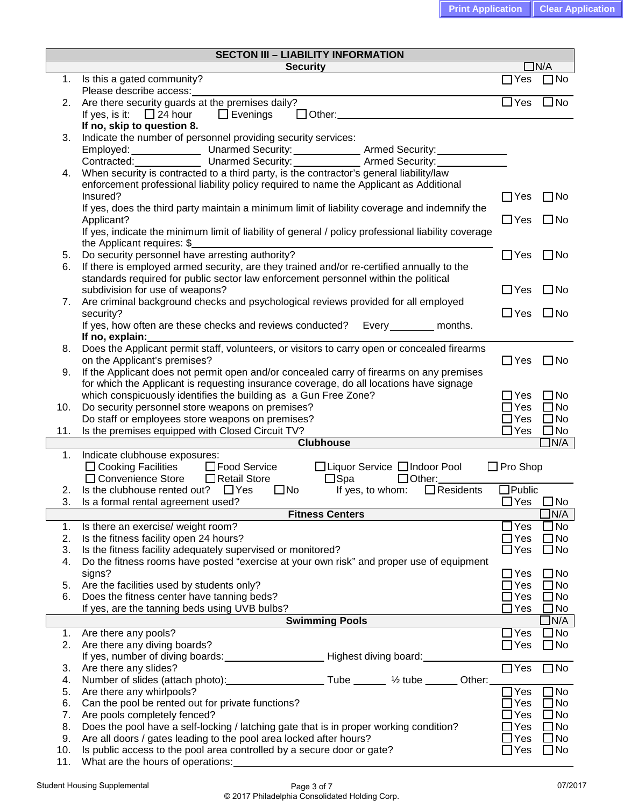| <b>SECTON III - LIABILITY INFORMATION</b> |                                                                                                                 |                 |                        |  |  |
|-------------------------------------------|-----------------------------------------------------------------------------------------------------------------|-----------------|------------------------|--|--|
|                                           | <b>Security</b>                                                                                                 |                 | $\Box$ N/A             |  |  |
|                                           | 1. Is this a gated community?                                                                                   | $\Box$ Yes      | $\Box$ No              |  |  |
|                                           | Please describe access:                                                                                         |                 |                        |  |  |
| 2.                                        | Are there security guards at the premises daily?                                                                | $\Box$ Yes      | $\Box$ No              |  |  |
|                                           | If yes, is it: $\Box$ 24 hour $\Box$ Evenings<br>$\Box$ Other:                                                  |                 |                        |  |  |
|                                           | If no, skip to question 8.                                                                                      |                 |                        |  |  |
| 3.                                        | Indicate the number of personnel providing security services:                                                   |                 |                        |  |  |
|                                           |                                                                                                                 |                 |                        |  |  |
|                                           | When security is contracted to a third party, is the contractor's general liability/law                         |                 |                        |  |  |
| 4.                                        | enforcement professional liability policy required to name the Applicant as Additional                          |                 |                        |  |  |
|                                           | Insured?                                                                                                        | $\Box$ Yes      | $\Box$ No              |  |  |
|                                           | If yes, does the third party maintain a minimum limit of liability coverage and indemnify the                   |                 |                        |  |  |
|                                           | Applicant?                                                                                                      | $\Box$ Yes      | $\Box$ No              |  |  |
|                                           | If yes, indicate the minimum limit of liability of general / policy professional liability coverage             |                 |                        |  |  |
|                                           | the Applicant requires: \$                                                                                      |                 |                        |  |  |
| 5.                                        | Do security personnel have arresting authority?                                                                 | $\Box$ Yes      | $\Box$ No              |  |  |
| 6.                                        | If there is employed armed security, are they trained and/or re-certified annually to the                       |                 |                        |  |  |
|                                           | standards required for public sector law enforcement personnel within the political                             |                 |                        |  |  |
|                                           | subdivision for use of weapons?                                                                                 | $\Box$ Yes      | $\Box$ No              |  |  |
| 7.                                        | Are criminal background checks and psychological reviews provided for all employed                              |                 |                        |  |  |
|                                           | security?                                                                                                       | $\Box$ Yes      | $\square$ No           |  |  |
|                                           | If yes, how often are these checks and reviews conducted? Every ________ months.                                |                 |                        |  |  |
|                                           | If no, explain:<br>Does the Applicant permit staff, volunteers, or visitors to carry open or concealed firearms |                 |                        |  |  |
| 8.                                        | on the Applicant's premises?                                                                                    | $\Box$ Yes      | $\Box$ No              |  |  |
| 9.                                        | If the Applicant does not permit open and/or concealed carry of firearms on any premises                        |                 |                        |  |  |
|                                           | for which the Applicant is requesting insurance coverage, do all locations have signage                         |                 |                        |  |  |
|                                           | which conspicuously identifies the building as a Gun Free Zone?                                                 | $\Box$ Yes      | $\square$ No           |  |  |
| 10.                                       | Do security personnel store weapons on premises?                                                                | $\Box$ Yes      | $\Box$ No              |  |  |
|                                           | Do staff or employees store weapons on premises?                                                                | $\Box$ Yes      | $\Box$ No              |  |  |
| 11.                                       | Is the premises equipped with Closed Circuit TV?                                                                | $\Box$ Yes      | $\square$ No           |  |  |
|                                           | <b>Clubhouse</b>                                                                                                |                 | JN/A                   |  |  |
| 1.                                        | Indicate clubhouse exposures:                                                                                   |                 |                        |  |  |
|                                           | □ Cooking Facilities □ Food Service<br>□ Liquor Service □ Indoor Pool                                           | $\Box$ Pro Shop |                        |  |  |
|                                           | □ Convenience Store<br>□ Retail Store<br>$\square$ Spa<br>$\Box$ Other:                                         |                 |                        |  |  |
| 2.                                        | $\Box$ Residents<br>Is the clubhouse rented out? $\Box$ Yes<br>$\square$ No<br>If yes, to whom:                 | $\Box$ Public   |                        |  |  |
| 3.                                        | Is a formal rental agreement used?<br><b>Fitness Centers</b>                                                    | $\Box$ Yes      | $\Box$ No              |  |  |
| 1.                                        | Is there an exercise/ weight room?                                                                              | $\Box$ Yes      | ]N/A<br>No             |  |  |
| 2.                                        | Is the fitness facility open 24 hours?                                                                          | $\Box$ Yes      | $\exists$ No           |  |  |
| 3.                                        | Is the fitness facility adequately supervised or monitored?                                                     | $\Box$ Yes      | $\Box$ No              |  |  |
| 4.                                        | Do the fitness rooms have posted "exercise at your own risk" and proper use of equipment                        |                 |                        |  |  |
|                                           | signs?                                                                                                          | $\Box$ Yes      | $\Box$ No              |  |  |
| 5.                                        | Are the facilities used by students only?                                                                       | $\sqsupset$ Yes | $\Box$ No              |  |  |
| 6.                                        | Does the fitness center have tanning beds?                                                                      | $\Box$ Yes      | $\Box$ No              |  |  |
|                                           | If yes, are the tanning beds using UVB bulbs?                                                                   | $\Box$ Yes      | $\Box$ No              |  |  |
|                                           | <b>Swimming Pools</b>                                                                                           |                 | $\exists N/A$          |  |  |
| 1.                                        | Are there any pools?                                                                                            | $\Box$ Yes      | $\Box$ No              |  |  |
| 2.                                        | Are there any diving boards?                                                                                    | $\Box$ Yes      | $\Box$ No              |  |  |
|                                           |                                                                                                                 |                 |                        |  |  |
| 3.                                        | Are there any slides?                                                                                           | $\Box$ Yes      | $\Box$ No              |  |  |
| 4.                                        | Number of slides (attach photo): Tube ____ 1/2 tube _____ Other:                                                |                 |                        |  |  |
| 5.                                        | Are there any whirlpools?                                                                                       | $\sqsupset$ Yes | $\n  1$ No             |  |  |
| 6.<br>7.                                  | Can the pool be rented out for private functions?<br>Are pools completely fenced?                               | Yes<br>Yes      | <b>No</b><br>$\Box$ No |  |  |
| 8.                                        | Does the pool have a self-locking / latching gate that is in proper working condition?                          | $\exists$ Yes   | $\sqsupset$ No         |  |  |
| 9.                                        | Are all doors / gates leading to the pool area locked after hours?                                              | $\exists$ Yes   | ⊐No                    |  |  |
|                                           |                                                                                                                 |                 |                        |  |  |
| 10.                                       | Is public access to the pool area controlled by a secure door or gate?                                          | $\Box$ Yes      | $\Box$ No              |  |  |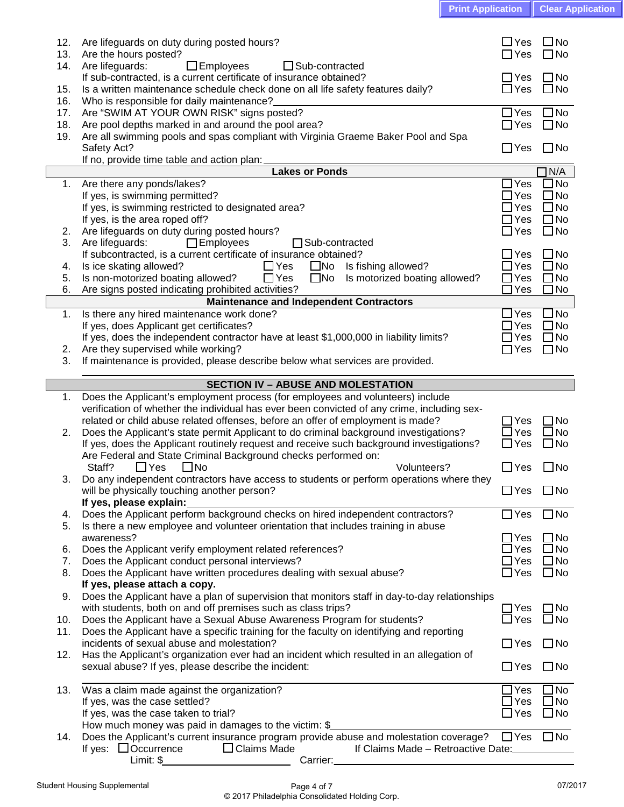| <b>Print Application   Clear Application</b> |
|----------------------------------------------|
|                                              |

| 12. |                                                                                                                |                      |              |
|-----|----------------------------------------------------------------------------------------------------------------|----------------------|--------------|
|     | Are lifeguards on duty during posted hours?                                                                    | $\sqcup$ Yes         | $\square$ No |
| 13. | Are the hours posted?                                                                                          | ∏Yes                 | $\Box$ No    |
| 14. | $\Box$ Employees<br>Are lifeguards:<br>$\Box$ Sub-contracted                                                   |                      |              |
|     | If sub-contracted, is a current certificate of insurance obtained?                                             | $\Box$ Yes           | $\Box$ No    |
| 15. | Is a written maintenance schedule check done on all life safety features daily?                                | $\Box$ Yes           | $\square$ No |
| 16. | Who is responsible for daily maintenance?                                                                      |                      |              |
| 17. | Are "SWIM AT YOUR OWN RISK" signs posted?                                                                      | $\Box$ Yes           | $\square$ No |
| 18. | Are pool depths marked in and around the pool area?                                                            | $\Box$ Yes           | $\Box$ No    |
| 19. | Are all swimming pools and spas compliant with Virginia Graeme Baker Pool and Spa                              |                      |              |
|     |                                                                                                                |                      |              |
|     | Safety Act?                                                                                                    | $\Box$ Yes           | $\Box$ No    |
|     | If no, provide time table and action plan:                                                                     |                      |              |
|     | <b>Lakes or Ponds</b>                                                                                          |                      | N/A          |
| 1.  | Are there any ponds/lakes?                                                                                     | Yes                  | ∃No          |
|     | If yes, is swimming permitted?                                                                                 | $\Box$ Yes           | $\Box$ No    |
|     | If yes, is swimming restricted to designated area?                                                             | $\sqcup$ Yes         | $\square$ No |
|     | If yes, is the area roped off?                                                                                 | $\Box$ Yes           | $\square$ No |
| 2.  | Are lifeguards on duty during posted hours?                                                                    | $\Box$ Yes           | $\square$ No |
| 3.  | Are lifeguards:<br>$\Box$ Employees<br>□ Sub-contracted                                                        |                      |              |
|     | If subcontracted, is a current certificate of insurance obtained?                                              | $\Box$ Yes           | $\square$ No |
| 4.  | Is ice skating allowed?<br>$\Box$ Yes<br>$\square$ No<br>Is fishing allowed?                                   | $\Box$ Yes           | $\Box$ No    |
| 5.  | Is non-motorized boating allowed?<br>$\Box$ Yes<br>Is motorized boating allowed?<br>$\square$ No               | $\Box$ Yes           | $\square$ No |
| 6.  | Are signs posted indicating prohibited activities?                                                             | $\Box$ Yes           | $\Box$ No    |
|     | Maintenance and Independent Contractors                                                                        |                      |              |
|     |                                                                                                                |                      |              |
| 1.  | Is there any hired maintenance work done?                                                                      | $\Box$ Yes           | $\Box$ No    |
|     | If yes, does Applicant get certificates?                                                                       | $\Box$ Yes           | $\square$ No |
|     | If yes, does the independent contractor have at least \$1,000,000 in liability limits?                         | $\Box$ Yes           | $\square$ No |
| 2.  | Are they supervised while working?                                                                             | $\Box$ Yes           | $\Box$ No    |
| 3.  | If maintenance is provided, please describe below what services are provided.                                  |                      |              |
|     |                                                                                                                |                      |              |
|     | <b>SECTION IV - ABUSE AND MOLESTATION</b>                                                                      |                      |              |
| 1.  | Does the Applicant's employment process (for employees and volunteers) include                                 |                      |              |
|     |                                                                                                                |                      |              |
|     |                                                                                                                |                      |              |
|     | verification of whether the individual has ever been convicted of any crime, including sex-                    |                      |              |
|     | related or child abuse related offenses, before an offer of employment is made?                                | ∃Yes                 | ∃No          |
| 2.  | Does the Applicant's state permit Applicant to do criminal background investigations?                          | $\Box$ Yes           | $\Box$ No    |
|     | If yes, does the Applicant routinely request and receive such background investigations?                       | $\Box$ Yes           | $\square$ No |
|     | Are Federal and State Criminal Background checks performed on:                                                 |                      |              |
|     | $\Box$ Yes<br>$\square$ No<br>Volunteers?<br>Staff?                                                            | $\Box$ Yes           | $\square$ No |
| 3.  | Do any independent contractors have access to students or perform operations where they                        |                      |              |
|     | will be physically touching another person?                                                                    | $\Box$ Yes           | $\square$ No |
|     | If yes, please explain:                                                                                        |                      |              |
| 4.  | Does the Applicant perform background checks on hired independent contractors?                                 | $\Box$ Yes           | $\Box$ No    |
| 5.  | Is there a new employee and volunteer orientation that includes training in abuse                              |                      |              |
|     | awareness?                                                                                                     | $\Box$ Yes           | ∃No          |
| 6.  | Does the Applicant verify employment related references?                                                       | $\sqcup$ Yes         | $\Box$ No    |
| 7.  | Does the Applicant conduct personal interviews?                                                                | $\Box$ Yes           | $\square$ No |
| 8.  | Does the Applicant have written procedures dealing with sexual abuse?                                          | $\Box$ Yes           | $\square$ No |
|     |                                                                                                                |                      |              |
|     | If yes, please attach a copy.                                                                                  |                      |              |
| 9.  | Does the Applicant have a plan of supervision that monitors staff in day-to-day relationships                  |                      |              |
|     | with students, both on and off premises such as class trips?                                                   | $\Box$ Yes           | $\square$ No |
| 10. | Does the Applicant have a Sexual Abuse Awareness Program for students?                                         | $\Box$ Yes           | $\square$ No |
| 11. | Does the Applicant have a specific training for the faculty on identifying and reporting                       |                      |              |
|     | incidents of sexual abuse and molestation?                                                                     | $\Box$ Yes           | $\Box$ No    |
| 12. | Has the Applicant's organization ever had an incident which resulted in an allegation of                       |                      |              |
|     | sexual abuse? If yes, please describe the incident:                                                            | $\Box$ Yes           | $\Box$ No    |
|     |                                                                                                                |                      |              |
| 13. | Was a claim made against the organization?                                                                     | $\Box$ Yes           | ∃No          |
|     | If yes, was the case settled?                                                                                  | $\sqsupset$ Yes      | No ∐         |
|     | If yes, was the case taken to trial?                                                                           | $\Box$ Yes           | $\Box$ No    |
|     | How much money was paid in damages to the victim: \$                                                           |                      |              |
| 14. | Does the Applicant's current insurance program provide abuse and molestation coverage?                         | $\Box$ Yes $\Box$ No |              |
|     | If yes: $\Box$ Occurrence<br>$\Box$ Claims Made<br>If Claims Made - Retroactive Date:<br>Limit: \$<br>Carrier: |                      |              |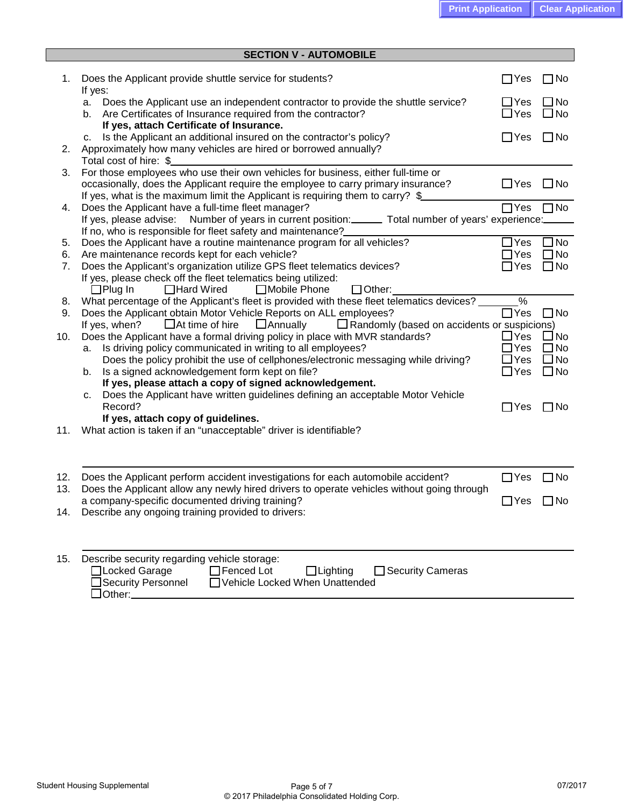|            | <b>SECTION V - AUTOMOBILE</b>                                                                                                                                                  |                          |                              |
|------------|--------------------------------------------------------------------------------------------------------------------------------------------------------------------------------|--------------------------|------------------------------|
|            |                                                                                                                                                                                |                          |                              |
| 1.         | Does the Applicant provide shuttle service for students?                                                                                                                       | $\Box$ Yes               | $\Box$ No                    |
|            | If yes:<br>Does the Applicant use an independent contractor to provide the shuttle service?<br>а.                                                                              | $\Box$ Yes               | $\square$ No                 |
|            | Are Certificates of Insurance required from the contractor?<br>b.                                                                                                              | $\Box$ Yes               | $\square$ No                 |
|            | If yes, attach Certificate of Insurance.                                                                                                                                       |                          |                              |
|            | Is the Applicant an additional insured on the contractor's policy?<br>с.                                                                                                       | $\Box$ Yes               | $\Box$ No                    |
| 2.         | Approximately how many vehicles are hired or borrowed annually?                                                                                                                |                          |                              |
|            | Total cost of hire: \$<br>For those employees who use their own vehicles for business, either full-time or                                                                     |                          |                              |
| 3.         | occasionally, does the Applicant require the employee to carry primary insurance?                                                                                              | $\Box$ Yes               | $\square$ No                 |
|            | If yes, what is the maximum limit the Applicant is requiring them to carry? \$                                                                                                 |                          |                              |
| 4.         | Does the Applicant have a full-time fleet manager?                                                                                                                             | $\Box$ Yes               | $\Box$ No                    |
|            | If yes, please advise: Number of years in current position: ______ Total number of years' experience:                                                                          |                          |                              |
|            | If no, who is responsible for fleet safety and maintenance?                                                                                                                    |                          |                              |
| 5.         | Does the Applicant have a routine maintenance program for all vehicles?                                                                                                        | $\Box$ Yes               | $\square$ No                 |
| 6.<br>7.   | Are maintenance records kept for each vehicle?<br>Does the Applicant's organization utilize GPS fleet telematics devices?                                                      | $\Box$ Yes<br>$\Box$ Yes | $\Box$ No<br>$\square$ No    |
|            | If yes, please check off the fleet telematics being utilized:                                                                                                                  |                          |                              |
|            | $\Box$ Plug In<br>□Hard Wired<br>□Mobile Phone<br>$\Box$ Other:                                                                                                                |                          |                              |
| 8.         | What percentage of the Applicant's fleet is provided with these fleet telematics devices? _                                                                                    | $\frac{9}{6}$            |                              |
| 9.         | Does the Applicant obtain Motor Vehicle Reports on ALL employees?                                                                                                              | $\Box$ Yes               | $\Box$ No                    |
|            | $\Box$ At time of hire<br>$\Box$ Annually<br>$\Box$ Randomly (based on accidents or suspicions)<br>If yes, when?                                                               | $\Box$ Yes               |                              |
| 10.        | Does the Applicant have a formal driving policy in place with MVR standards?<br>Is driving policy communicated in writing to all employees?<br>а.                              | $\Box$ Yes               | $\square$ No<br>$\square$ No |
|            | Does the policy prohibit the use of cellphones/electronic messaging while driving?                                                                                             | $\Box$ Yes               | $\square$ No                 |
|            | Is a signed acknowledgement form kept on file?<br>b.                                                                                                                           | $\Box$ Yes               | $\square$ No                 |
|            | If yes, please attach a copy of signed acknowledgement.                                                                                                                        |                          |                              |
|            | Does the Applicant have written guidelines defining an acceptable Motor Vehicle<br>с.                                                                                          |                          |                              |
|            | Record?<br>If yes, attach copy of guidelines.                                                                                                                                  | $\Box$ Yes               | $\Box$ No                    |
| 11.        | What action is taken if an "unacceptable" driver is identifiable?                                                                                                              |                          |                              |
|            |                                                                                                                                                                                |                          |                              |
|            |                                                                                                                                                                                |                          |                              |
|            |                                                                                                                                                                                |                          |                              |
| 12.<br>13. | Does the Applicant perform accident investigations for each automobile accident?<br>Does the Applicant allow any newly hired drivers to operate vehicles without going through | $\Box$ Yes               | ⊐No                          |
|            | a company-specific documented driving training?                                                                                                                                | $\Box$ Yes               | $\square$ No                 |
| 14.        | Describe any ongoing training provided to drivers:                                                                                                                             |                          |                              |
|            |                                                                                                                                                                                |                          |                              |
|            |                                                                                                                                                                                |                          |                              |
|            |                                                                                                                                                                                |                          |                              |
| 15.        | Describe security regarding vehicle storage:<br>□Locked Garage<br>$\Box$ Fenced Lot<br>$\Box$ Lighting<br>□ Security Cameras                                                   |                          |                              |
|            | Security Personnel<br>Vehicle Locked When Unattended                                                                                                                           |                          |                              |
|            | $\Box$ Other: $\Box$                                                                                                                                                           |                          |                              |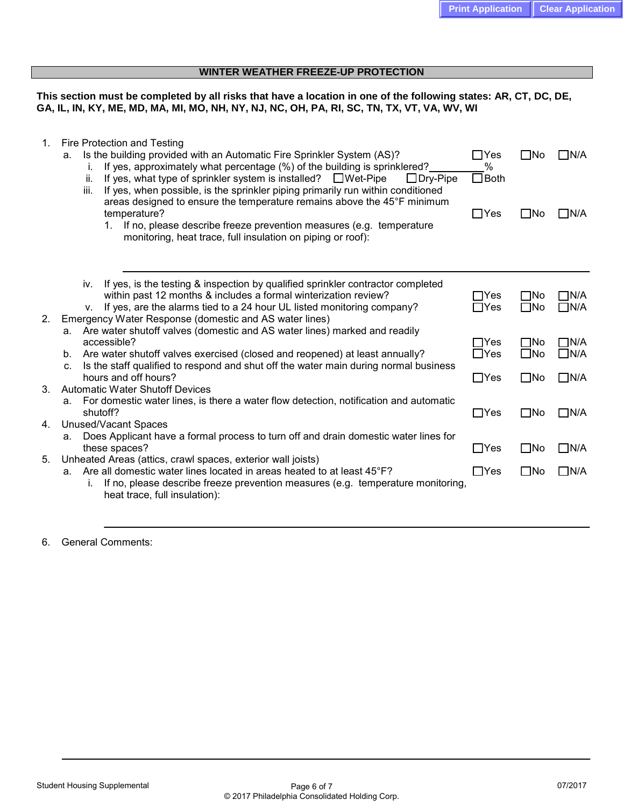## **WINTER WEATHER FREEZE-UP PROTECTION**

**This section must be completed by all risks that have a location in one of the following states: AR, CT, DC, DE, GA, IL, IN, KY, ME, MD, MA, MI, MO, NH, NY, NJ, NC, OH, PA, RI, SC, TN, TX, VT, VA, WV, WI**

| If yes, is the testing & inspection by qualified sprinkler contractor completed<br>iv.<br>within past 12 months & includes a formal winterization review?<br>$\Box$ Yes<br>ΠNo<br>If yes, are the alarms tied to a 24 hour UL listed monitoring company?<br>$\Box$ Yes<br>$\square$ No<br>v.<br>Emergency Water Response (domestic and AS water lines)<br>2.<br>a. Are water shutoff valves (domestic and AS water lines) marked and readily<br>accessible?<br>$\Box$ Yes<br>$\square$ No<br>$\Box$ Yes<br>$\square$ No<br>Are water shutoff valves exercised (closed and reopened) at least annually?<br>b.<br>Is the staff qualified to respond and shut off the water main during normal business<br>$C_{-}$<br>hours and off hours?<br>$\Box$ Yes<br>$\square$ No<br>3.<br><b>Automatic Water Shutoff Devices</b><br>a. For domestic water lines, is there a water flow detection, notification and automatic<br>shutoff?<br>$\Box$ Yes<br>$\square$ No<br>Unused/Vacant Spaces<br>4.<br>Does Applicant have a formal process to turn off and drain domestic water lines for<br>a.<br>these spaces?<br>$\Box$ Yes<br>$\square$ No<br>Unheated Areas (attics, crawl spaces, exterior wall joists)<br>5.<br>Are all domestic water lines located in areas heated to at least 45°F?<br>$\Box$ Yes<br>$\square$ No<br>a.<br>If no, please describe freeze prevention measures (e.g. temperature monitoring,<br>i.<br>heat trace, full insulation): | 1. | Fire Protection and Testing<br>Is the building provided with an Automatic Fire Sprinkler System (AS)?<br>а.<br>If yes, approximately what percentage (%) of the building is sprinklered?<br>i.<br>If yes, what type of sprinkler system is installed? $\square$ Wet-Pipe<br>ii.<br>$\Box$ Dry-Pipe<br>If yes, when possible, is the sprinkler piping primarily run within conditioned<br>iii.<br>areas designed to ensure the temperature remains above the 45°F minimum<br>temperature?<br>If no, please describe freeze prevention measures (e.g. temperature<br>1.<br>monitoring, heat trace, full insulation on piping or roof): | $\Box$ Yes<br>%<br>$\Box$ Both<br>$\Box$ Yes | ΠNo<br>$\square$ No | $\Box$ N/A<br>$\square$ N/A |
|----------------------------------------------------------------------------------------------------------------------------------------------------------------------------------------------------------------------------------------------------------------------------------------------------------------------------------------------------------------------------------------------------------------------------------------------------------------------------------------------------------------------------------------------------------------------------------------------------------------------------------------------------------------------------------------------------------------------------------------------------------------------------------------------------------------------------------------------------------------------------------------------------------------------------------------------------------------------------------------------------------------------------------------------------------------------------------------------------------------------------------------------------------------------------------------------------------------------------------------------------------------------------------------------------------------------------------------------------------------------------------------------------------------------------------------------------|----|--------------------------------------------------------------------------------------------------------------------------------------------------------------------------------------------------------------------------------------------------------------------------------------------------------------------------------------------------------------------------------------------------------------------------------------------------------------------------------------------------------------------------------------------------------------------------------------------------------------------------------------|----------------------------------------------|---------------------|-----------------------------|
|                                                                                                                                                                                                                                                                                                                                                                                                                                                                                                                                                                                                                                                                                                                                                                                                                                                                                                                                                                                                                                                                                                                                                                                                                                                                                                                                                                                                                                                    |    |                                                                                                                                                                                                                                                                                                                                                                                                                                                                                                                                                                                                                                      |                                              |                     | $\Box$ N/A<br>$\Box$ N/A    |
|                                                                                                                                                                                                                                                                                                                                                                                                                                                                                                                                                                                                                                                                                                                                                                                                                                                                                                                                                                                                                                                                                                                                                                                                                                                                                                                                                                                                                                                    |    |                                                                                                                                                                                                                                                                                                                                                                                                                                                                                                                                                                                                                                      |                                              |                     | $\Box$ N/A<br>$\Box$ N/A    |
|                                                                                                                                                                                                                                                                                                                                                                                                                                                                                                                                                                                                                                                                                                                                                                                                                                                                                                                                                                                                                                                                                                                                                                                                                                                                                                                                                                                                                                                    |    |                                                                                                                                                                                                                                                                                                                                                                                                                                                                                                                                                                                                                                      |                                              |                     | $\Box$ N/A                  |
|                                                                                                                                                                                                                                                                                                                                                                                                                                                                                                                                                                                                                                                                                                                                                                                                                                                                                                                                                                                                                                                                                                                                                                                                                                                                                                                                                                                                                                                    |    |                                                                                                                                                                                                                                                                                                                                                                                                                                                                                                                                                                                                                                      |                                              |                     | $\Box$ N/A                  |
|                                                                                                                                                                                                                                                                                                                                                                                                                                                                                                                                                                                                                                                                                                                                                                                                                                                                                                                                                                                                                                                                                                                                                                                                                                                                                                                                                                                                                                                    |    |                                                                                                                                                                                                                                                                                                                                                                                                                                                                                                                                                                                                                                      |                                              |                     | $\Box$ N/A                  |
|                                                                                                                                                                                                                                                                                                                                                                                                                                                                                                                                                                                                                                                                                                                                                                                                                                                                                                                                                                                                                                                                                                                                                                                                                                                                                                                                                                                                                                                    |    |                                                                                                                                                                                                                                                                                                                                                                                                                                                                                                                                                                                                                                      |                                              |                     | $\Box$ N/A                  |

<sup>6.</sup> General Comments: